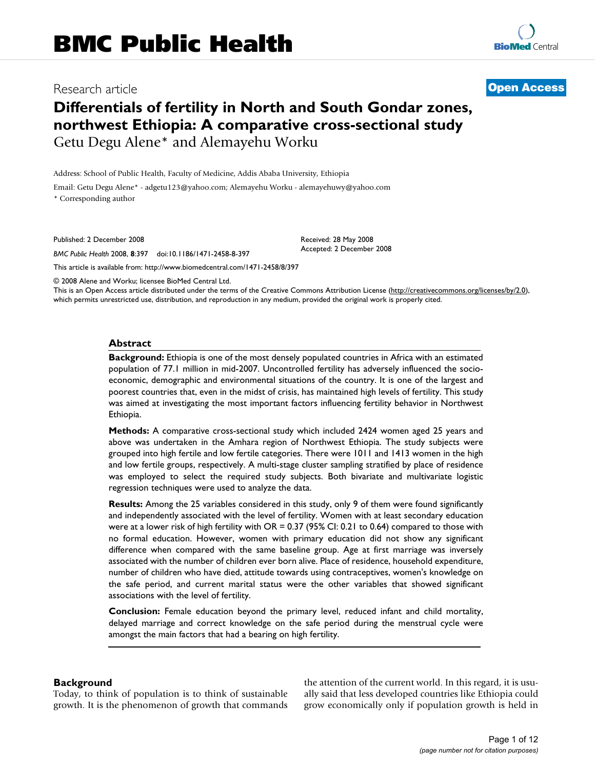### Research article **[Open Access](http://www.biomedcentral.com/info/about/charter/)**

# **Differentials of fertility in North and South Gondar zones, northwest Ethiopia: A comparative cross-sectional study** Getu Degu Alene\* and Alemayehu Worku

Address: School of Public Health, Faculty of Medicine, Addis Ababa University, Ethiopia

Email: Getu Degu Alene\* - adgetu123@yahoo.com; Alemayehu Worku - alemayehuwy@yahoo.com \* Corresponding author

Published: 2 December 2008

*BMC Public Health* 2008, **8**:397 doi:10.1186/1471-2458-8-397

[This article is available from: http://www.biomedcentral.com/1471-2458/8/397](http://www.biomedcentral.com/1471-2458/8/397)

© 2008 Alene and Worku; licensee BioMed Central Ltd.

This is an Open Access article distributed under the terms of the Creative Commons Attribution License [\(http://creativecommons.org/licenses/by/2.0\)](http://creativecommons.org/licenses/by/2.0), which permits unrestricted use, distribution, and reproduction in any medium, provided the original work is properly cited.

Received: 28 May 2008 Accepted: 2 December 2008

#### **Abstract**

**Background:** Ethiopia is one of the most densely populated countries in Africa with an estimated population of 77.1 million in mid-2007. Uncontrolled fertility has adversely influenced the socioeconomic, demographic and environmental situations of the country. It is one of the largest and poorest countries that, even in the midst of crisis, has maintained high levels of fertility. This study was aimed at investigating the most important factors influencing fertility behavior in Northwest Ethiopia.

**Methods:** A comparative cross-sectional study which included 2424 women aged 25 years and above was undertaken in the Amhara region of Northwest Ethiopia. The study subjects were grouped into high fertile and low fertile categories. There were 1011 and 1413 women in the high and low fertile groups, respectively. A multi-stage cluster sampling stratified by place of residence was employed to select the required study subjects. Both bivariate and multivariate logistic regression techniques were used to analyze the data.

**Results:** Among the 25 variables considered in this study, only 9 of them were found significantly and independently associated with the level of fertility. Women with at least secondary education were at a lower risk of high fertility with OR = 0.37 (95% CI: 0.21 to 0.64) compared to those with no formal education. However, women with primary education did not show any significant difference when compared with the same baseline group. Age at first marriage was inversely associated with the number of children ever born alive. Place of residence, household expenditure, number of children who have died, attitude towards using contraceptives, women's knowledge on the safe period, and current marital status were the other variables that showed significant associations with the level of fertility.

**Conclusion:** Female education beyond the primary level, reduced infant and child mortality, delayed marriage and correct knowledge on the safe period during the menstrual cycle were amongst the main factors that had a bearing on high fertility.

### **Background**

Today, to think of population is to think of sustainable growth. It is the phenomenon of growth that commands the attention of the current world. In this regard, it is usually said that less developed countries like Ethiopia could grow economically only if population growth is held in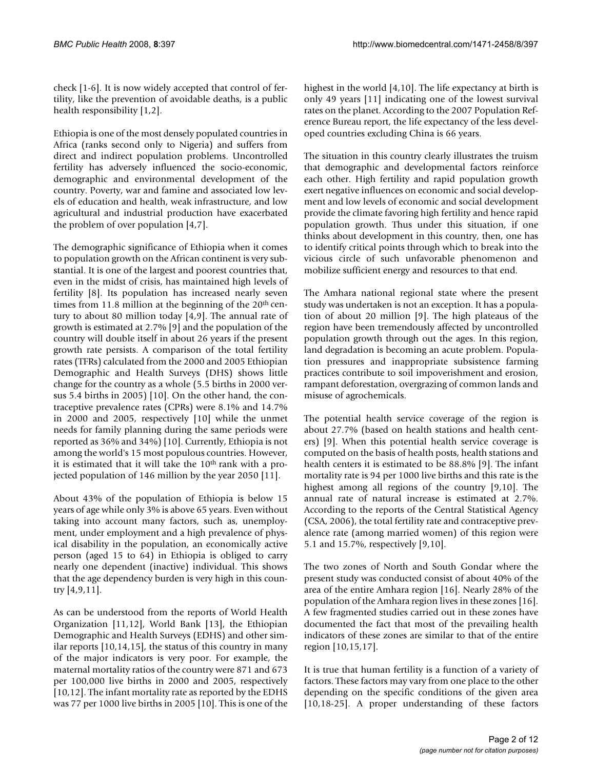check [1-6]. It is now widely accepted that control of fertility, like the prevention of avoidable deaths, is a public health responsibility [1,2].

Ethiopia is one of the most densely populated countries in Africa (ranks second only to Nigeria) and suffers from direct and indirect population problems. Uncontrolled fertility has adversely influenced the socio-economic, demographic and environmental development of the country. Poverty, war and famine and associated low levels of education and health, weak infrastructure, and low agricultural and industrial production have exacerbated the problem of over population [4,7].

The demographic significance of Ethiopia when it comes to population growth on the African continent is very substantial. It is one of the largest and poorest countries that, even in the midst of crisis, has maintained high levels of fertility [8]. Its population has increased nearly seven times from 11.8 million at the beginning of the  $20<sup>th</sup>$  century to about 80 million today [4,9]. The annual rate of growth is estimated at 2.7% [9] and the population of the country will double itself in about 26 years if the present growth rate persists. A comparison of the total fertility rates (TFRs) calculated from the 2000 and 2005 Ethiopian Demographic and Health Surveys (DHS) shows little change for the country as a whole (5.5 births in 2000 versus 5.4 births in 2005) [10]. On the other hand, the contraceptive prevalence rates (CPRs) were 8.1% and 14.7% in 2000 and 2005, respectively [10] while the unmet needs for family planning during the same periods were reported as 36% and 34%) [10]. Currently, Ethiopia is not among the world's 15 most populous countries. However, it is estimated that it will take the 10<sup>th</sup> rank with a projected population of 146 million by the year 2050 [11].

About 43% of the population of Ethiopia is below 15 years of age while only 3% is above 65 years. Even without taking into account many factors, such as, unemployment, under employment and a high prevalence of physical disability in the population, an economically active person (aged 15 to 64) in Ethiopia is obliged to carry nearly one dependent (inactive) individual. This shows that the age dependency burden is very high in this country [4,9,11].

As can be understood from the reports of World Health Organization [11,12], World Bank [13], the Ethiopian Demographic and Health Surveys (EDHS) and other similar reports [10,14,15], the status of this country in many of the major indicators is very poor. For example, the maternal mortality ratios of the country were 871 and 673 per 100,000 live births in 2000 and 2005, respectively [10,12]. The infant mortality rate as reported by the EDHS was 77 per 1000 live births in 2005 [10]. This is one of the highest in the world [4,10]. The life expectancy at birth is only 49 years [11] indicating one of the lowest survival rates on the planet. According to the 2007 Population Reference Bureau report, the life expectancy of the less developed countries excluding China is 66 years.

The situation in this country clearly illustrates the truism that demographic and developmental factors reinforce each other. High fertility and rapid population growth exert negative influences on economic and social development and low levels of economic and social development provide the climate favoring high fertility and hence rapid population growth. Thus under this situation, if one thinks about development in this country, then, one has to identify critical points through which to break into the vicious circle of such unfavorable phenomenon and mobilize sufficient energy and resources to that end.

The Amhara national regional state where the present study was undertaken is not an exception. It has a population of about 20 million [9]. The high plateaus of the region have been tremendously affected by uncontrolled population growth through out the ages. In this region, land degradation is becoming an acute problem. Population pressures and inappropriate subsistence farming practices contribute to soil impoverishment and erosion, rampant deforestation, overgrazing of common lands and misuse of agrochemicals.

The potential health service coverage of the region is about 27.7% (based on health stations and health centers) [9]. When this potential health service coverage is computed on the basis of health posts, health stations and health centers it is estimated to be 88.8% [9]. The infant mortality rate is 94 per 1000 live births and this rate is the highest among all regions of the country [9,10]. The annual rate of natural increase is estimated at 2.7%. According to the reports of the Central Statistical Agency (CSA, 2006), the total fertility rate and contraceptive prevalence rate (among married women) of this region were 5.1 and 15.7%, respectively [9,10].

The two zones of North and South Gondar where the present study was conducted consist of about 40% of the area of the entire Amhara region [16]. Nearly 28% of the population of the Amhara region lives in these zones [16]. A few fragmented studies carried out in these zones have documented the fact that most of the prevailing health indicators of these zones are similar to that of the entire region [10,15,17].

It is true that human fertility is a function of a variety of factors. These factors may vary from one place to the other depending on the specific conditions of the given area [10,18-25]. A proper understanding of these factors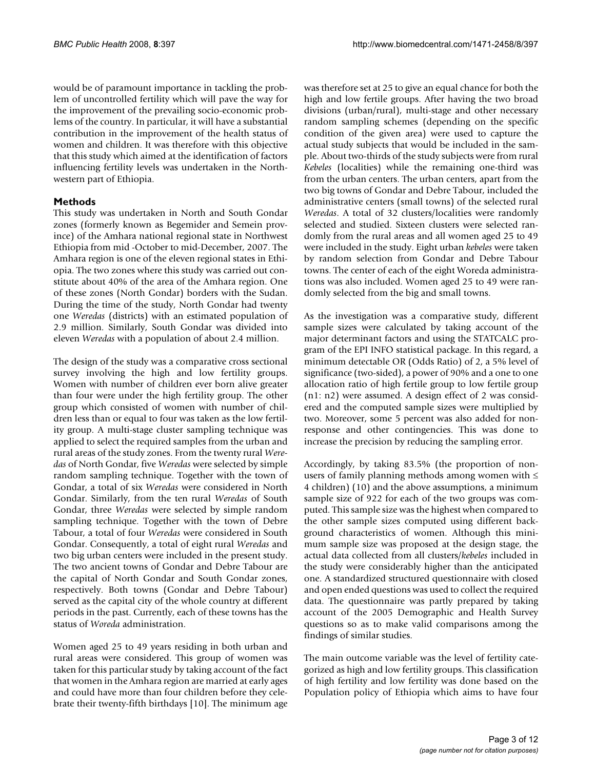would be of paramount importance in tackling the problem of uncontrolled fertility which will pave the way for the improvement of the prevailing socio-economic problems of the country. In particular, it will have a substantial contribution in the improvement of the health status of women and children. It was therefore with this objective that this study which aimed at the identification of factors influencing fertility levels was undertaken in the Northwestern part of Ethiopia.

### **Methods**

This study was undertaken in North and South Gondar zones (formerly known as Begemider and Semein province) of the Amhara national regional state in Northwest Ethiopia from mid -October to mid-December, 2007. The Amhara region is one of the eleven regional states in Ethiopia. The two zones where this study was carried out constitute about 40% of the area of the Amhara region. One of these zones (North Gondar) borders with the Sudan. During the time of the study, North Gondar had twenty one *Weredas* (districts) with an estimated population of 2.9 million. Similarly, South Gondar was divided into eleven *Weredas* with a population of about 2.4 million.

The design of the study was a comparative cross sectional survey involving the high and low fertility groups. Women with number of children ever born alive greater than four were under the high fertility group. The other group which consisted of women with number of children less than or equal to four was taken as the low fertility group. A multi-stage cluster sampling technique was applied to select the required samples from the urban and rural areas of the study zones. From the twenty rural *Weredas* of North Gondar, five *Weredas* were selected by simple random sampling technique. Together with the town of Gondar, a total of six *Weredas* were considered in North Gondar. Similarly, from the ten rural *Weredas* of South Gondar, three *Weredas* were selected by simple random sampling technique. Together with the town of Debre Tabour, a total of four *Weredas* were considered in South Gondar. Consequently, a total of eight rural *Weredas* and two big urban centers were included in the present study. The two ancient towns of Gondar and Debre Tabour are the capital of North Gondar and South Gondar zones, respectively. Both towns (Gondar and Debre Tabour) served as the capital city of the whole country at different periods in the past. Currently, each of these towns has the status of *Woreda* administration.

Women aged 25 to 49 years residing in both urban and rural areas were considered. This group of women was taken for this particular study by taking account of the fact that women in the Amhara region are married at early ages and could have more than four children before they celebrate their twenty-fifth birthdays [10]. The minimum age

was therefore set at 25 to give an equal chance for both the high and low fertile groups. After having the two broad divisions (urban/rural), multi-stage and other necessary random sampling schemes (depending on the specific condition of the given area) were used to capture the actual study subjects that would be included in the sample. About two-thirds of the study subjects were from rural *Kebeles* (localities) while the remaining one-third was from the urban centers. The urban centers, apart from the two big towns of Gondar and Debre Tabour, included the administrative centers (small towns) of the selected rural *Weredas*. A total of 32 clusters/localities were randomly selected and studied. Sixteen clusters were selected randomly from the rural areas and all women aged 25 to 49 were included in the study. Eight urban *kebeles* were taken by random selection from Gondar and Debre Tabour towns. The center of each of the eight Woreda administrations was also included. Women aged 25 to 49 were randomly selected from the big and small towns.

As the investigation was a comparative study, different sample sizes were calculated by taking account of the major determinant factors and using the STATCALC program of the EPI INFO statistical package. In this regard, a minimum detectable OR (Odds Ratio) of 2, a 5% level of significance (two-sided), a power of 90% and a one to one allocation ratio of high fertile group to low fertile group (n1: n2) were assumed. A design effect of 2 was considered and the computed sample sizes were multiplied by two. Moreover, some 5 percent was also added for nonresponse and other contingencies. This was done to increase the precision by reducing the sampling error.

Accordingly, by taking 83.5% (the proportion of nonusers of family planning methods among women with  $\leq$ 4 children) (10) and the above assumptions, a minimum sample size of 922 for each of the two groups was computed. This sample size was the highest when compared to the other sample sizes computed using different background characteristics of women. Although this minimum sample size was proposed at the design stage, the actual data collected from all clusters/*kebeles* included in the study were considerably higher than the anticipated one. A standardized structured questionnaire with closed and open ended questions was used to collect the required data. The questionnaire was partly prepared by taking account of the 2005 Demographic and Health Survey questions so as to make valid comparisons among the findings of similar studies.

The main outcome variable was the level of fertility categorized as high and low fertility groups. This classification of high fertility and low fertility was done based on the Population policy of Ethiopia which aims to have four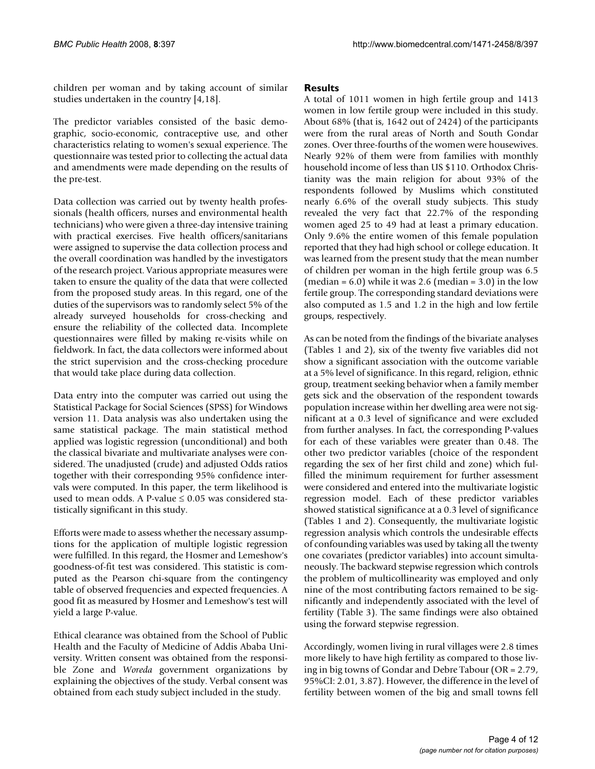children per woman and by taking account of similar studies undertaken in the country [4,18].

The predictor variables consisted of the basic demographic, socio-economic, contraceptive use, and other characteristics relating to women's sexual experience. The questionnaire was tested prior to collecting the actual data and amendments were made depending on the results of the pre-test.

Data collection was carried out by twenty health professionals (health officers, nurses and environmental health technicians) who were given a three-day intensive training with practical exercises. Five health officers/sanitarians were assigned to supervise the data collection process and the overall coordination was handled by the investigators of the research project. Various appropriate measures were taken to ensure the quality of the data that were collected from the proposed study areas. In this regard, one of the duties of the supervisors was to randomly select 5% of the already surveyed households for cross-checking and ensure the reliability of the collected data. Incomplete questionnaires were filled by making re-visits while on fieldwork. In fact, the data collectors were informed about the strict supervision and the cross-checking procedure that would take place during data collection.

Data entry into the computer was carried out using the Statistical Package for Social Sciences (SPSS) for Windows version 11. Data analysis was also undertaken using the same statistical package. The main statistical method applied was logistic regression (unconditional) and both the classical bivariate and multivariate analyses were considered. The unadjusted (crude) and adjusted Odds ratios together with their corresponding 95% confidence intervals were computed. In this paper, the term likelihood is used to mean odds. A P-value  $\leq 0.05$  was considered statistically significant in this study.

Efforts were made to assess whether the necessary assumptions for the application of multiple logistic regression were fulfilled. In this regard, the Hosmer and Lemeshow's goodness-of-fit test was considered. This statistic is computed as the Pearson chi-square from the contingency table of observed frequencies and expected frequencies. A good fit as measured by Hosmer and Lemeshow's test will yield a large P-value.

Ethical clearance was obtained from the School of Public Health and the Faculty of Medicine of Addis Ababa University. Written consent was obtained from the responsible Zone and *Woreda* government organizations by explaining the objectives of the study. Verbal consent was obtained from each study subject included in the study.

### **Results**

A total of 1011 women in high fertile group and 1413 women in low fertile group were included in this study. About 68% (that is, 1642 out of 2424) of the participants were from the rural areas of North and South Gondar zones. Over three-fourths of the women were housewives. Nearly 92% of them were from families with monthly household income of less than US \$110. Orthodox Christianity was the main religion for about 93% of the respondents followed by Muslims which constituted nearly 6.6% of the overall study subjects. This study revealed the very fact that 22.7% of the responding women aged 25 to 49 had at least a primary education. Only 9.6% the entire women of this female population reported that they had high school or college education. It was learned from the present study that the mean number of children per woman in the high fertile group was 6.5 (median =  $6.0$ ) while it was 2.6 (median =  $3.0$ ) in the low fertile group. The corresponding standard deviations were also computed as 1.5 and 1.2 in the high and low fertile groups, respectively.

As can be noted from the findings of the bivariate analyses (Tables 1 and 2), six of the twenty five variables did not show a significant association with the outcome variable at a 5% level of significance. In this regard, religion, ethnic group, treatment seeking behavior when a family member gets sick and the observation of the respondent towards population increase within her dwelling area were not significant at a 0.3 level of significance and were excluded from further analyses. In fact, the corresponding P-values for each of these variables were greater than 0.48. The other two predictor variables (choice of the respondent regarding the sex of her first child and zone) which fulfilled the minimum requirement for further assessment were considered and entered into the multivariate logistic regression model. Each of these predictor variables showed statistical significance at a 0.3 level of significance (Tables 1 and 2). Consequently, the multivariate logistic regression analysis which controls the undesirable effects of confounding variables was used by taking all the twenty one covariates (predictor variables) into account simultaneously. The backward stepwise regression which controls the problem of multicollinearity was employed and only nine of the most contributing factors remained to be significantly and independently associated with the level of fertility (Table 3). The same findings were also obtained using the forward stepwise regression.

Accordingly, women living in rural villages were 2.8 times more likely to have high fertility as compared to those living in big towns of Gondar and Debre Tabour (OR = 2.79, 95%CI: 2.01, 3.87). However, the difference in the level of fertility between women of the big and small towns fell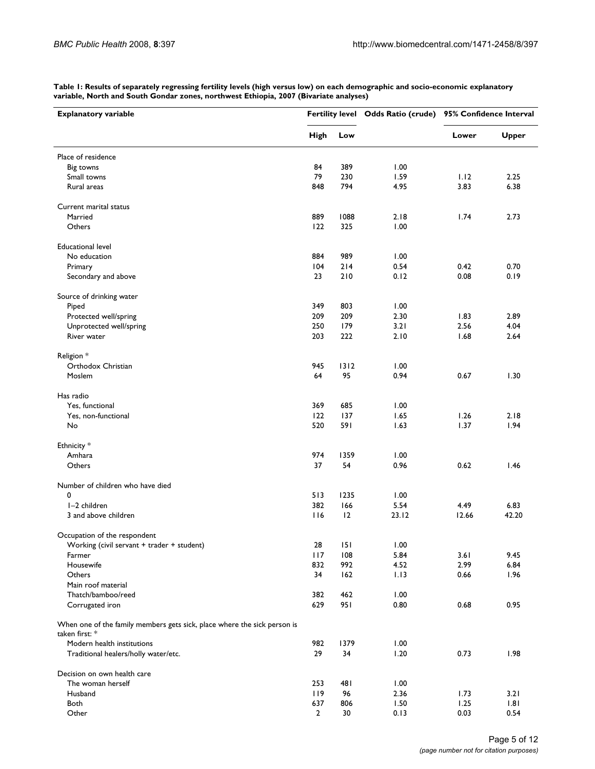| <b>Explanatory variable</b>                                                                |                |      | Fertility level Odds Ratio (crude) | 95% Confidence Interval |              |
|--------------------------------------------------------------------------------------------|----------------|------|------------------------------------|-------------------------|--------------|
|                                                                                            | High           | Low  |                                    | Lower                   | Upper        |
| Place of residence                                                                         |                |      |                                    |                         |              |
| Big towns                                                                                  | 84             | 389  | 1.00                               |                         |              |
| Small towns                                                                                | 79             | 230  | 1.59                               | 1.12                    | 2.25         |
| Rural areas                                                                                | 848            | 794  | 4.95                               | 3.83                    | 6.38         |
| Current marital status                                                                     |                |      |                                    |                         |              |
| Married                                                                                    | 889            | 1088 | 2.18                               | 1.74                    | 2.73         |
| Others                                                                                     | 122            | 325  | 1.00                               |                         |              |
| <b>Educational level</b>                                                                   |                |      |                                    |                         |              |
| No education                                                                               | 884            | 989  | 1.00                               |                         |              |
| Primary                                                                                    | 104            | 214  | 0.54                               | 0.42                    | 0.70         |
| Secondary and above                                                                        | 23             | 210  | 0.12                               | 0.08                    | 0.19         |
| Source of drinking water                                                                   |                |      |                                    |                         |              |
| Piped                                                                                      | 349            | 803  | 1.00                               |                         |              |
| Protected well/spring                                                                      | 209            | 209  | 2.30                               | 1.83                    | 2.89         |
| Unprotected well/spring                                                                    | 250            | 179  | 3.21                               | 2.56                    | 4.04         |
|                                                                                            |                |      |                                    |                         |              |
| River water                                                                                | 203            | 222  | 2.10                               | 1.68                    | 2.64         |
| Religion *                                                                                 |                |      |                                    |                         |              |
| Orthodox Christian                                                                         | 945            | 1312 | 1.00                               |                         |              |
| Moslem                                                                                     | 64             | 95   | 0.94                               | 0.67                    | 1.30         |
| Has radio                                                                                  |                |      |                                    |                         |              |
| Yes, functional                                                                            | 369            | 685  | 1.00                               |                         |              |
| Yes, non-functional                                                                        | 122            | 137  | 1.65                               | 1.26                    | 2.18         |
| No                                                                                         | 520            | 591  | 1.63                               | 1.37                    | 1.94         |
| Ethnicity <sup>*</sup>                                                                     |                |      |                                    |                         |              |
| Amhara                                                                                     | 974            | 1359 | 1.00                               |                         |              |
| Others                                                                                     | 37             | 54   | 0.96                               | 0.62                    | 1.46         |
| Number of children who have died                                                           |                |      |                                    |                         |              |
| 0                                                                                          | 513            | 1235 | 1.00                               |                         |              |
| I-2 children                                                                               | 382            | 166  | 5.54                               | 4.49                    | 6.83         |
| 3 and above children                                                                       | 116            | 12   | 23.12                              | 12.66                   | 42.20        |
| Occupation of the respondent                                                               |                |      |                                    |                         |              |
| Working (civil servant + trader + student)                                                 | 28             | 151  | 1.00                               |                         |              |
| Farmer                                                                                     | 117            | 108  | 5.84                               | 3.61                    | 9.45         |
| Housewife                                                                                  | 832            | 992  | 4.52                               | 2.99                    | 6.84         |
| Others                                                                                     | 34             | 162  | 1.13                               | 0.66                    | 1.96         |
| Main roof material                                                                         |                |      |                                    |                         |              |
|                                                                                            |                |      |                                    |                         |              |
| Thatch/bamboo/reed                                                                         | 382            | 462  | 1.00                               |                         |              |
| Corrugated iron                                                                            | 629            | 951  | 0.80                               | 0.68                    | 0.95         |
| When one of the family members gets sick, place where the sick person is<br>taken first: * |                |      |                                    |                         |              |
| Modern health institutions                                                                 | 982            | 1379 | 1.00                               |                         |              |
| Traditional healers/holly water/etc.                                                       | 29             | 34   | 1.20                               | 0.73                    | 1.98         |
| Decision on own health care                                                                |                |      |                                    |                         |              |
| The woman herself                                                                          | 253            | 481  | 1.00                               |                         |              |
| Husband                                                                                    | 119            | 96   | 2.36                               |                         |              |
| Both                                                                                       | 637            | 806  | 1.50                               | 1.73<br>1.25            | 3.21<br>1.81 |
|                                                                                            |                |      |                                    |                         |              |
| Other                                                                                      | $\overline{2}$ | 30   | 0.13                               | 0.03                    | 0.54         |

**Table 1: Results of separately regressing fertility levels (high versus low) on each demographic and socio-economic explanatory variable, North and South Gondar zones, northwest Ethiopia, 2007 (Bivariate analyses)**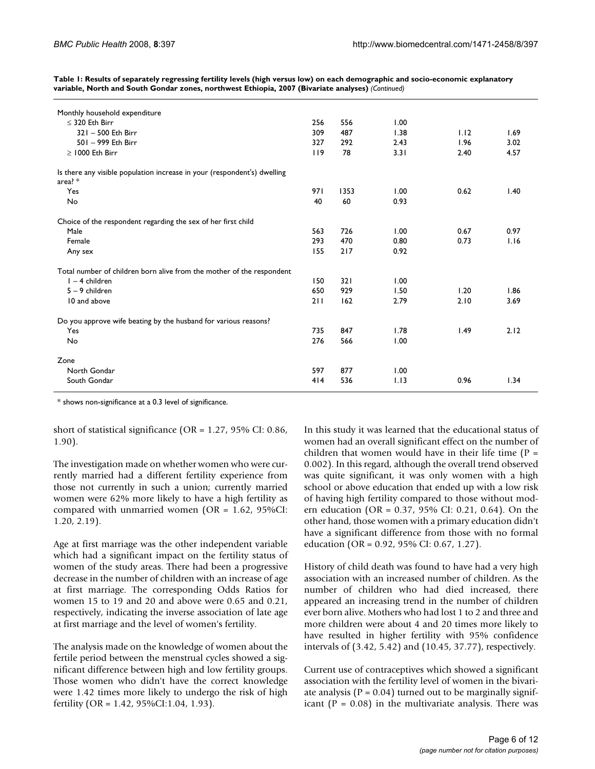| Table 1: Results of separately regressing fertility levels (high versus low) on each demographic and socio-economic explanatory |
|---------------------------------------------------------------------------------------------------------------------------------|
| variable, North and South Gondar zones, northwest Ethiopia, 2007 (Bivariate analyses) (Continued)                               |

| Monthly household expenditure                                                         |     |      |      |      |      |
|---------------------------------------------------------------------------------------|-----|------|------|------|------|
| $<$ 320 Eth Birr                                                                      | 256 | 556  | 1.00 |      |      |
| 321 - 500 Eth Birr                                                                    | 309 | 487  | 1.38 | 1.12 | 1.69 |
| 501 - 999 Eth Birr                                                                    | 327 | 292  | 2.43 | 1.96 | 3.02 |
| $\geq$ 1000 Eth Birr                                                                  | 119 | 78   | 3.31 | 2.40 | 4.57 |
| Is there any visible population increase in your (respondent's) dwelling<br>area? $*$ |     |      |      |      |      |
| Yes                                                                                   | 971 | 1353 | 1.00 | 0.62 | 1.40 |
| No                                                                                    | 40  | 60   | 0.93 |      |      |
| Choice of the respondent regarding the sex of her first child                         |     |      |      |      |      |
| Male                                                                                  | 563 | 726  | 1.00 | 0.67 | 0.97 |
| Female                                                                                | 293 | 470  | 0.80 | 0.73 | 1.16 |
| Any sex                                                                               | 155 | 217  | 0.92 |      |      |
| Total number of children born alive from the mother of the respondent                 |     |      |      |      |      |
| $I - 4$ children                                                                      | 150 | 321  | 1.00 |      |      |
| $5 - 9$ children                                                                      | 650 | 929  | 1.50 | 1.20 | 1.86 |
| 10 and above                                                                          | 211 | 162  | 2.79 | 2.10 | 3.69 |
| Do you approve wife beating by the husband for various reasons?                       |     |      |      |      |      |
| Yes                                                                                   | 735 | 847  | 1.78 | 1.49 | 2.12 |
| No                                                                                    | 276 | 566  | 1.00 |      |      |
| Zone                                                                                  |     |      |      |      |      |
| North Gondar                                                                          | 597 | 877  | 1.00 |      |      |
| South Gondar                                                                          | 414 | 536  | 1.13 | 0.96 | 1.34 |

\* shows non-significance at a 0.3 level of significance.

short of statistical significance (OR = 1.27, 95% CI: 0.86, 1.90).

The investigation made on whether women who were currently married had a different fertility experience from those not currently in such a union; currently married women were 62% more likely to have a high fertility as compared with unmarried women (OR = 1.62, 95%CI: 1.20, 2.19).

Age at first marriage was the other independent variable which had a significant impact on the fertility status of women of the study areas. There had been a progressive decrease in the number of children with an increase of age at first marriage. The corresponding Odds Ratios for women 15 to 19 and 20 and above were 0.65 and 0.21, respectively, indicating the inverse association of late age at first marriage and the level of women's fertility.

The analysis made on the knowledge of women about the fertile period between the menstrual cycles showed a significant difference between high and low fertility groups. Those women who didn't have the correct knowledge were 1.42 times more likely to undergo the risk of high fertility (OR = 1.42, 95%CI:1.04, 1.93).

In this study it was learned that the educational status of women had an overall significant effect on the number of children that women would have in their life time  $(P =$ 0.002). In this regard, although the overall trend observed was quite significant, it was only women with a high school or above education that ended up with a low risk of having high fertility compared to those without modern education (OR = 0.37, 95% CI: 0.21, 0.64). On the other hand, those women with a primary education didn't have a significant difference from those with no formal education (OR = 0.92, 95% CI: 0.67, 1.27).

History of child death was found to have had a very high association with an increased number of children. As the number of children who had died increased, there appeared an increasing trend in the number of children ever born alive. Mothers who had lost 1 to 2 and three and more children were about 4 and 20 times more likely to have resulted in higher fertility with 95% confidence intervals of (3.42, 5.42) and (10.45, 37.77), respectively.

Current use of contraceptives which showed a significant association with the fertility level of women in the bivariate analysis ( $P = 0.04$ ) turned out to be marginally significant ( $P = 0.08$ ) in the multivariate analysis. There was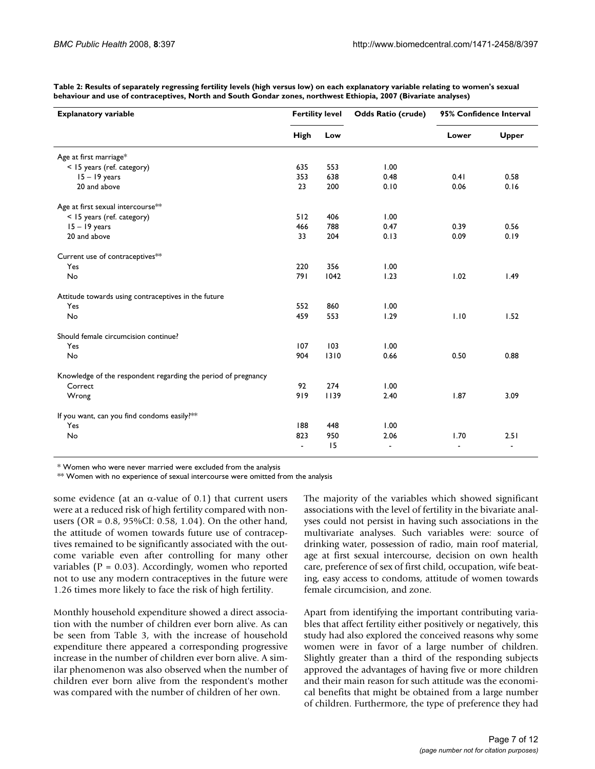| <b>Explanatory variable</b>                                   | <b>Fertility level</b> |      | <b>Odds Ratio (crude)</b> | 95% Confidence Interval |              |  |
|---------------------------------------------------------------|------------------------|------|---------------------------|-------------------------|--------------|--|
|                                                               | High                   | Low  |                           | Lower                   | <b>Upper</b> |  |
| Age at first marriage*                                        |                        |      |                           |                         |              |  |
| < 15 years (ref. category)                                    | 635                    | 553  | 1.00                      |                         |              |  |
| $15 - 19$ years                                               | 353                    | 638  | 0.48                      | 0.41                    | 0.58         |  |
| 20 and above                                                  | 23                     | 200  | 0.10                      | 0.06                    | 0.16         |  |
| Age at first sexual intercourse**                             |                        |      |                           |                         |              |  |
| < 15 years (ref. category)                                    | 512                    | 406  | 1.00                      |                         |              |  |
| $15 - 19$ years                                               | 466                    | 788  | 0.47                      | 0.39                    | 0.56         |  |
| 20 and above                                                  | 33                     | 204  | 0.13                      | 0.09                    | 0.19         |  |
| Current use of contraceptives**                               |                        |      |                           |                         |              |  |
| Yes                                                           | 220                    | 356  | 1.00                      |                         |              |  |
| No                                                            | 791                    | 1042 | 1.23                      | 1.02                    | 1.49         |  |
| Attitude towards using contraceptives in the future           |                        |      |                           |                         |              |  |
| Yes                                                           | 552                    | 860  | 1.00                      |                         |              |  |
| No                                                            | 459                    | 553  | 1.29                      | 1.10                    | 1.52         |  |
| Should female circumcision continue?                          |                        |      |                           |                         |              |  |
| Yes                                                           | 107                    | 103  | 1.00                      |                         |              |  |
| No                                                            | 904                    | 1310 | 0.66                      | 0.50                    | 0.88         |  |
| Knowledge of the respondent regarding the period of pregnancy |                        |      |                           |                         |              |  |
| Correct                                                       | 92                     | 274  | 1.00                      |                         |              |  |
| Wrong                                                         | 919                    | 1139 | 2.40                      | 1.87                    | 3.09         |  |
| If you want, can you find condoms easily?**                   |                        |      |                           |                         |              |  |
| Yes                                                           | 188                    | 448  | 1.00                      |                         |              |  |
| No                                                            | 823                    | 950  | 2.06                      | 1.70                    | 2.51         |  |
|                                                               |                        | 15   |                           |                         |              |  |

**Table 2: Results of separately regressing fertility levels (high versus low) on each explanatory variable relating to women's sexual behaviour and use of contraceptives, North and South Gondar zones, northwest Ethiopia, 2007 (Bivariate analyses)**

\* Women who were never married were excluded from the analysis

\*\* Women with no experience of sexual intercourse were omitted from the analysis

some evidence (at an  $\alpha$ -value of 0.1) that current users were at a reduced risk of high fertility compared with nonusers (OR = 0.8, 95%CI: 0.58, 1.04). On the other hand, the attitude of women towards future use of contraceptives remained to be significantly associated with the outcome variable even after controlling for many other variables ( $P = 0.03$ ). Accordingly, women who reported not to use any modern contraceptives in the future were 1.26 times more likely to face the risk of high fertility.

Monthly household expenditure showed a direct association with the number of children ever born alive. As can be seen from Table 3, with the increase of household expenditure there appeared a corresponding progressive increase in the number of children ever born alive. A similar phenomenon was also observed when the number of children ever born alive from the respondent's mother was compared with the number of children of her own.

The majority of the variables which showed significant associations with the level of fertility in the bivariate analyses could not persist in having such associations in the multivariate analyses. Such variables were: source of drinking water, possession of radio, main roof material, age at first sexual intercourse, decision on own health care, preference of sex of first child, occupation, wife beating, easy access to condoms, attitude of women towards female circumcision, and zone.

Apart from identifying the important contributing variables that affect fertility either positively or negatively, this study had also explored the conceived reasons why some women were in favor of a large number of children. Slightly greater than a third of the responding subjects approved the advantages of having five or more children and their main reason for such attitude was the economical benefits that might be obtained from a large number of children. Furthermore, the type of preference they had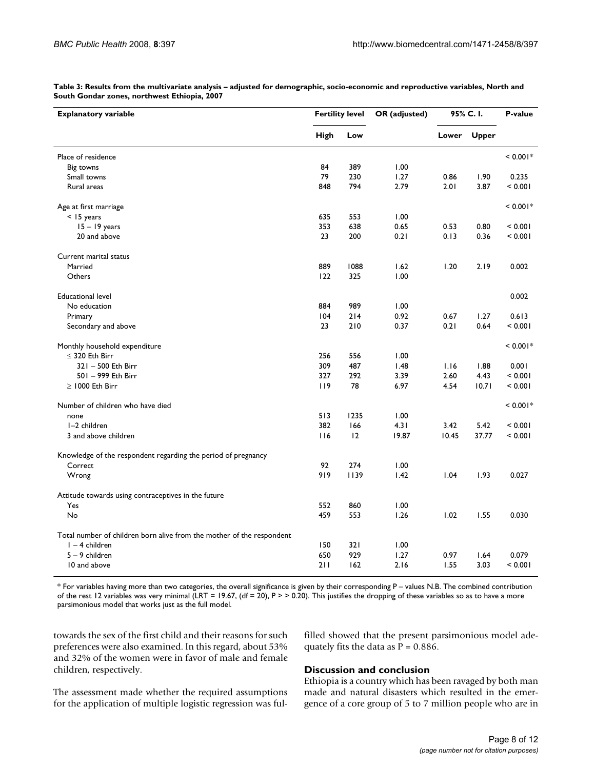| <b>Explanatory variable</b>                                           | <b>Fertility level</b> |      | OR (adjusted) | 95% C.I. |       | P-value    |
|-----------------------------------------------------------------------|------------------------|------|---------------|----------|-------|------------|
|                                                                       | <b>High</b>            | Low  |               | Lower    | Upper |            |
| Place of residence                                                    |                        |      |               |          |       | $< 0.001*$ |
| Big towns                                                             | 84                     | 389  | 1.00          |          |       |            |
| Small towns                                                           | 79                     | 230  | 1.27          | 0.86     | 1.90  | 0.235      |
| Rural areas                                                           | 848                    | 794  | 2.79          | 2.01     | 3.87  | < 0.001    |
| Age at first marriage                                                 |                        |      |               |          |       | $< 0.001*$ |
| $<$ 15 years                                                          | 635                    | 553  | 1.00          |          |       |            |
| $15 - 19$ years                                                       | 353                    | 638  | 0.65          | 0.53     | 0.80  | < 0.001    |
| 20 and above                                                          | 23                     | 200  | 0.21          | 0.13     | 0.36  | < 0.001    |
| Current marital status                                                |                        |      |               |          |       |            |
| Married                                                               | 889                    | 1088 | 1.62          | 1.20     | 2.19  | 0.002      |
| Others                                                                | 122                    | 325  | 1.00          |          |       |            |
| <b>Educational level</b>                                              |                        |      |               |          |       | 0.002      |
| No education                                                          | 884                    | 989  | 1.00          |          |       |            |
| Primary                                                               | 104                    | 214  | 0.92          | 0.67     | 1.27  | 0.613      |
| Secondary and above                                                   | 23                     | 210  | 0.37          | 0.21     | 0.64  | < 0.001    |
| Monthly household expenditure                                         |                        |      |               |          |       | $< 0.001*$ |
| $\leq$ 320 Eth Birr                                                   | 256                    | 556  | 1.00          |          |       |            |
| 321 - 500 Eth Birr                                                    | 309                    | 487  | 1.48          | 1.16     | 1.88  | 0.001      |
| 501 - 999 Eth Birr                                                    | 327                    | 292  | 3.39          | 2.60     | 4.43  | < 0.001    |
| $\geq$ 1000 Eth Birr                                                  | 119                    | 78   | 6.97          | 4.54     | 10.71 | < 0.001    |
| Number of children who have died                                      |                        |      |               |          |       | $< 0.001*$ |
| none                                                                  | 513                    | 1235 | 1.00          |          |       |            |
| I-2 children                                                          | 382                    | 166  | 4.31          | 3.42     | 5.42  | < 0.001    |
| 3 and above children                                                  | 116                    | 12   | 19.87         | 10.45    | 37.77 | < 0.001    |
| Knowledge of the respondent regarding the period of pregnancy         |                        |      |               |          |       |            |
| Correct                                                               | 92                     | 274  | 1.00          |          |       |            |
| Wrong                                                                 | 919                    | 1139 | 1.42          | 1.04     | 1.93  | 0.027      |
| Attitude towards using contraceptives in the future                   |                        |      |               |          |       |            |
| Yes                                                                   | 552                    | 860  | 1.00          |          |       |            |
| No                                                                    | 459                    | 553  | 1.26          | 1.02     | 1.55  | 0.030      |
| Total number of children born alive from the mother of the respondent |                        |      |               |          |       |            |
| $I - 4$ children                                                      | 150                    | 321  | 1.00          |          |       |            |
| $5 - 9$ children                                                      | 650                    | 929  | 1.27          | 0.97     | 1.64  | 0.079      |
| 10 and above                                                          | 211                    | 162  | 2.16          | 1.55     | 3.03  | < 0.001    |

**Table 3: Results from the multivariate analysis – adjusted for demographic, socio-economic and reproductive variables, North and South Gondar zones, northwest Ethiopia, 2007**

\* For variables having more than two categories, the overall significance is given by their corresponding P – values N.B. The combined contribution of the rest 12 variables was very minimal (LRT = 19.67, (df = 20),  $P > 0.20$ ). This justifies the dropping of these variables so as to have a more parsimonious model that works just as the full model.

towards the sex of the first child and their reasons for such preferences were also examined. In this regard, about 53% and 32% of the women were in favor of male and female children, respectively.

filled showed that the present parsimonious model adequately fits the data as  $P = 0.886$ .

## The assessment made whether the required assumptions for the application of multiple logistic regression was ful-

### **Discussion and conclusion**

Ethiopia is a country which has been ravaged by both man made and natural disasters which resulted in the emergence of a core group of 5 to 7 million people who are in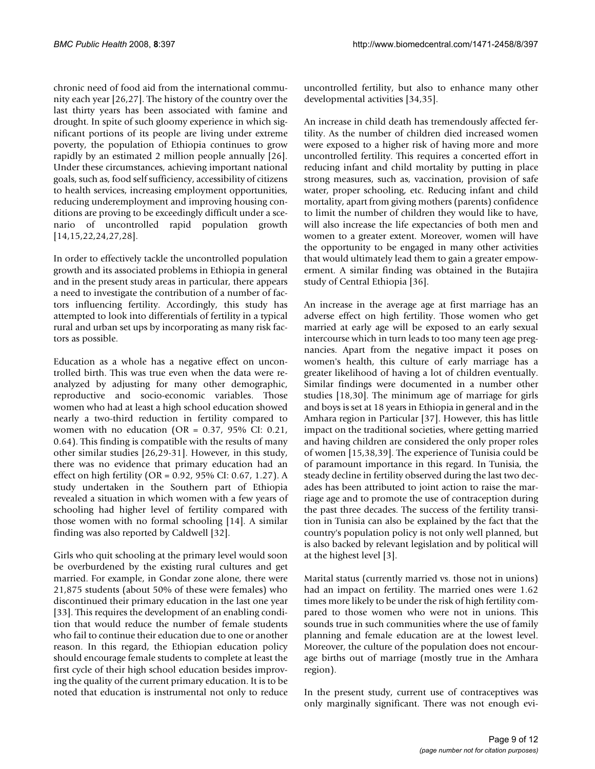chronic need of food aid from the international community each year [26,27]. The history of the country over the last thirty years has been associated with famine and drought. In spite of such gloomy experience in which significant portions of its people are living under extreme poverty, the population of Ethiopia continues to grow rapidly by an estimated 2 million people annually [26]. Under these circumstances, achieving important national goals, such as, food self sufficiency, accessibility of citizens to health services, increasing employment opportunities, reducing underemployment and improving housing conditions are proving to be exceedingly difficult under a scenario of uncontrolled rapid population growth [14,15,22,24,27,28].

In order to effectively tackle the uncontrolled population growth and its associated problems in Ethiopia in general and in the present study areas in particular, there appears a need to investigate the contribution of a number of factors influencing fertility. Accordingly, this study has attempted to look into differentials of fertility in a typical rural and urban set ups by incorporating as many risk factors as possible.

Education as a whole has a negative effect on uncontrolled birth. This was true even when the data were reanalyzed by adjusting for many other demographic, reproductive and socio-economic variables. Those women who had at least a high school education showed nearly a two-third reduction in fertility compared to women with no education (OR =  $0.37$ ,  $95\%$  CI:  $0.21$ , 0.64). This finding is compatible with the results of many other similar studies [26,29-31]. However, in this study, there was no evidence that primary education had an effect on high fertility (OR = 0.92, 95% CI: 0.67, 1.27). A study undertaken in the Southern part of Ethiopia revealed a situation in which women with a few years of schooling had higher level of fertility compared with those women with no formal schooling [14]. A similar finding was also reported by Caldwell [32].

Girls who quit schooling at the primary level would soon be overburdened by the existing rural cultures and get married. For example, in Gondar zone alone, there were 21,875 students (about 50% of these were females) who discontinued their primary education in the last one year [33]. This requires the development of an enabling condition that would reduce the number of female students who fail to continue their education due to one or another reason. In this regard, the Ethiopian education policy should encourage female students to complete at least the first cycle of their high school education besides improving the quality of the current primary education. It is to be noted that education is instrumental not only to reduce uncontrolled fertility, but also to enhance many other developmental activities [34,35].

An increase in child death has tremendously affected fertility. As the number of children died increased women were exposed to a higher risk of having more and more uncontrolled fertility. This requires a concerted effort in reducing infant and child mortality by putting in place strong measures, such as, vaccination, provision of safe water, proper schooling, etc. Reducing infant and child mortality, apart from giving mothers (parents) confidence to limit the number of children they would like to have, will also increase the life expectancies of both men and women to a greater extent. Moreover, women will have the opportunity to be engaged in many other activities that would ultimately lead them to gain a greater empowerment. A similar finding was obtained in the Butajira study of Central Ethiopia [36].

An increase in the average age at first marriage has an adverse effect on high fertility. Those women who get married at early age will be exposed to an early sexual intercourse which in turn leads to too many teen age pregnancies. Apart from the negative impact it poses on women's health, this culture of early marriage has a greater likelihood of having a lot of children eventually. Similar findings were documented in a number other studies [18,30]. The minimum age of marriage for girls and boys is set at 18 years in Ethiopia in general and in the Amhara region in Particular [37]. However, this has little impact on the traditional societies, where getting married and having children are considered the only proper roles of women [15,38,39]. The experience of Tunisia could be of paramount importance in this regard. In Tunisia, the steady decline in fertility observed during the last two decades has been attributed to joint action to raise the marriage age and to promote the use of contraception during the past three decades. The success of the fertility transition in Tunisia can also be explained by the fact that the country's population policy is not only well planned, but is also backed by relevant legislation and by political will at the highest level [3].

Marital status (currently married vs. those not in unions) had an impact on fertility. The married ones were 1.62 times more likely to be under the risk of high fertility compared to those women who were not in unions. This sounds true in such communities where the use of family planning and female education are at the lowest level. Moreover, the culture of the population does not encourage births out of marriage (mostly true in the Amhara region).

In the present study, current use of contraceptives was only marginally significant. There was not enough evi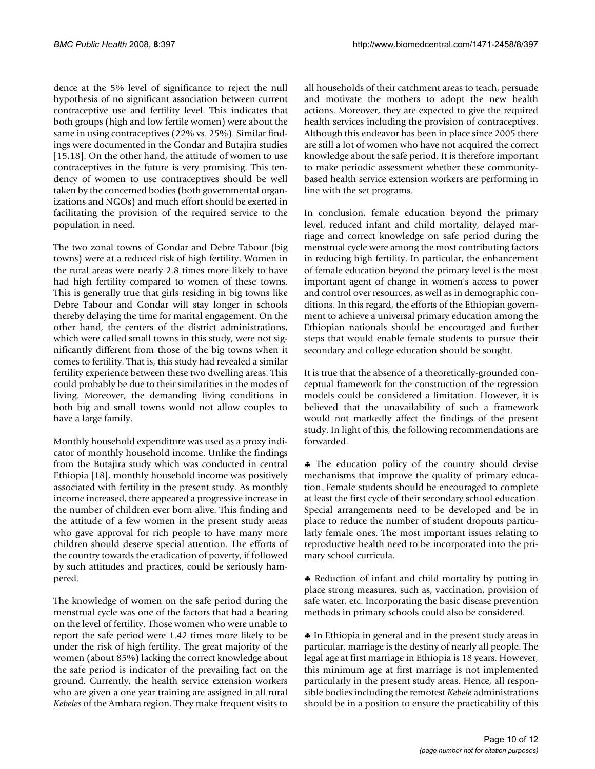dence at the 5% level of significance to reject the null hypothesis of no significant association between current contraceptive use and fertility level. This indicates that both groups (high and low fertile women) were about the same in using contraceptives (22% vs. 25%). Similar findings were documented in the Gondar and Butajira studies [15,18]. On the other hand, the attitude of women to use contraceptives in the future is very promising. This tendency of women to use contraceptives should be well taken by the concerned bodies (both governmental organizations and NGOs) and much effort should be exerted in facilitating the provision of the required service to the population in need.

The two zonal towns of Gondar and Debre Tabour (big towns) were at a reduced risk of high fertility. Women in the rural areas were nearly 2.8 times more likely to have had high fertility compared to women of these towns. This is generally true that girls residing in big towns like Debre Tabour and Gondar will stay longer in schools thereby delaying the time for marital engagement. On the other hand, the centers of the district administrations, which were called small towns in this study, were not significantly different from those of the big towns when it comes to fertility. That is, this study had revealed a similar fertility experience between these two dwelling areas. This could probably be due to their similarities in the modes of living. Moreover, the demanding living conditions in both big and small towns would not allow couples to have a large family.

Monthly household expenditure was used as a proxy indicator of monthly household income. Unlike the findings from the Butajira study which was conducted in central Ethiopia [18], monthly household income was positively associated with fertility in the present study. As monthly income increased, there appeared a progressive increase in the number of children ever born alive. This finding and the attitude of a few women in the present study areas who gave approval for rich people to have many more children should deserve special attention. The efforts of the country towards the eradication of poverty, if followed by such attitudes and practices, could be seriously hampered.

The knowledge of women on the safe period during the menstrual cycle was one of the factors that had a bearing on the level of fertility. Those women who were unable to report the safe period were 1.42 times more likely to be under the risk of high fertility. The great majority of the women (about 85%) lacking the correct knowledge about the safe period is indicator of the prevailing fact on the ground. Currently, the health service extension workers who are given a one year training are assigned in all rural *Kebeles* of the Amhara region. They make frequent visits to

all households of their catchment areas to teach, persuade and motivate the mothers to adopt the new health actions. Moreover, they are expected to give the required health services including the provision of contraceptives. Although this endeavor has been in place since 2005 there are still a lot of women who have not acquired the correct knowledge about the safe period. It is therefore important to make periodic assessment whether these communitybased health service extension workers are performing in line with the set programs.

In conclusion, female education beyond the primary level, reduced infant and child mortality, delayed marriage and correct knowledge on safe period during the menstrual cycle were among the most contributing factors in reducing high fertility. In particular, the enhancement of female education beyond the primary level is the most important agent of change in women's access to power and control over resources, as well as in demographic conditions. In this regard, the efforts of the Ethiopian government to achieve a universal primary education among the Ethiopian nationals should be encouraged and further steps that would enable female students to pursue their secondary and college education should be sought.

It is true that the absence of a theoretically-grounded conceptual framework for the construction of the regression models could be considered a limitation. However, it is believed that the unavailability of such a framework would not markedly affect the findings of the present study. In light of this, the following recommendations are forwarded.

♣ The education policy of the country should devise mechanisms that improve the quality of primary education. Female students should be encouraged to complete at least the first cycle of their secondary school education. Special arrangements need to be developed and be in place to reduce the number of student dropouts particularly female ones. The most important issues relating to reproductive health need to be incorporated into the primary school curricula.

♣ Reduction of infant and child mortality by putting in place strong measures, such as, vaccination, provision of safe water, etc. Incorporating the basic disease prevention methods in primary schools could also be considered.

♣ In Ethiopia in general and in the present study areas in particular, marriage is the destiny of nearly all people. The legal age at first marriage in Ethiopia is 18 years. However, this minimum age at first marriage is not implemented particularly in the present study areas. Hence, all responsible bodies including the remotest *Kebele* administrations should be in a position to ensure the practicability of this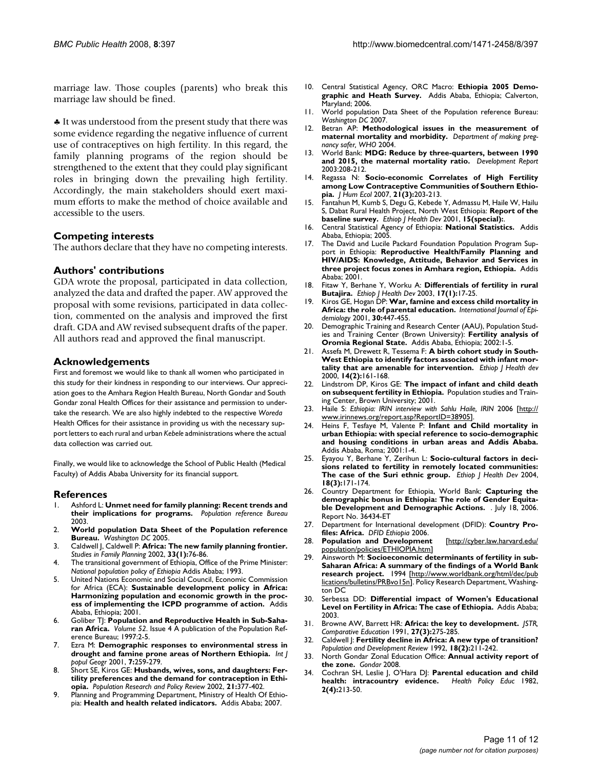marriage law. Those couples (parents) who break this marriage law should be fined.

♣ It was understood from the present study that there was some evidence regarding the negative influence of current use of contraceptives on high fertility. In this regard, the family planning programs of the region should be strengthened to the extent that they could play significant roles in bringing down the prevailing high fertility. Accordingly, the main stakeholders should exert maximum efforts to make the method of choice available and accessible to the users.

### **Competing interests**

The authors declare that they have no competing interests.

### **Authors' contributions**

GDA wrote the proposal, participated in data collection, analyzed the data and drafted the paper. AW approved the proposal with some revisions, participated in data collection, commented on the analysis and improved the first draft. GDA and AW revised subsequent drafts of the paper. All authors read and approved the final manuscript.

### **Acknowledgements**

First and foremost we would like to thank all women who participated in this study for their kindness in responding to our interviews. Our appreciation goes to the Amhara Region Health Bureau, North Gondar and South Gondar zonal Health Offices for their assistance and permission to undertake the research. We are also highly indebted to the respective *Woreda*  Health Offices for their assistance in providing us with the necessary support letters to each rural and urban *Kebele* administrations where the actual data collection was carried out.

Finally, we would like to acknowledge the School of Public Health (Medical Faculty) of Addis Ababa University for its financial support.

### **References**

- 1. Ashford L: **Unmet need for family planning: Recent trends and their implications for programs.** *Population reference Bureau* 2003.
- 2. **World population Data Sheet of the Population reference Bureau.** *Washington DC* 2005.
- 3. Caldwell J, Caldwell P: **[Africa: The new family planning frontier.](http://www.ncbi.nlm.nih.gov/entrez/query.fcgi?cmd=Retrieve&db=PubMed&dopt=Abstract&list_uids=11974421)** *Studies in Family Planning* 2002, **33(1):**76-86.
- 4. The transitional government of Ethiopia, Office of the Prime Minister: *National population policy of Ethiopia* Addis Ababa; 1993.
- 5. United Nations Economic and Social Council, Economic Commission for Africa (ECA): **Sustainable development policy in Africa: Harmonizing population and economic growth in the process of implementing the ICPD programme of action.** Addis Ababa, Ethiopia; 2001.
- 6. Goliber TJ: **Population and Reproductive Health in Sub-Saharan Africa.** *Volume 52*. Issue 4 A publication of the Population Reference Bureau; 1997:2-5.
- 7. Ezra M: **Demographic responses to environmental stress in drought and famine prone areas of Northern Ethiopia.** *Int J popul Geogr* 2001, **7:**259-279.
- 8. Short SE, Kiros GE: **Husbands, wives, sons, and daughters: Fertility preferences and the demand for contraception in Ethiopia.** *Population Research and Policy Review* 2002, **21:**377-402.
- 9. Planning and Programming Department, Ministry of Health Of Ethiopia: **Health and health related indicators.** Addis Ababa; 2007.
- 10. Central Statistical Agency, ORC Macro: **Ethiopia 2005 Demographic and Heath Survey.** Addis Ababa, Ethiopia; Calverton, Maryland; 2006.
- 11. World population Data Sheet of the Population reference Bureau: *Washington DC* 2007.
- 12. Betran AP: **Methodological issues in the measurement of maternal mortality and morbidity.** *Department of making pregnancy safer, WHO* 2004.
- 13. World Bank: **MDG: Reduce by three-quarters, between 1990 and 2015, the maternal mortality ratio.** *Development Report* 2003:208-212.
- 14. Regassa N: **Socio-economic Correlates of High Fertility among Low Contraceptive Communities of Southern Ethiopia.** *J Hum Ecol* 2007, **21(3):**203-213.
- 15. Fantahun M, Kumb S, Degu G, Kebede Y, Admassu M, Haile W, Hailu S, Dabat Rural Health Project, North West Ethiopia: **Report of the baseline survey.** *Ethiop J Health Dev* 2001, **15(special):**.
- 16. Central Statistical Agency of Ethiopia: **National Statistics.** Addis Ababa, Ethiopia; 2005.
- 17. The David and Lucile Packard Foundation Population Program Support in Ethiopia: **Reproductive Health/Family Planning and HIV/AIDS: Knowledge, Attitude, Behavior and Services in three project focus zones in Amhara region, Ethiopia.** Addis Ababa; 2001.
- 18. Fitaw Y, Berhane Y, Worku A: **Differentials of fertility in rural Butajira.** *Ethiop J Health Dev* 2003, **17(1):**17-25.
- 19. Kiros GE, Hogan DP: **[War, famine and excess child mortality in](http://www.ncbi.nlm.nih.gov/entrez/query.fcgi?cmd=Retrieve&db=PubMed&dopt=Abstract&list_uids=11416062) [Africa: the role of parental education.](http://www.ncbi.nlm.nih.gov/entrez/query.fcgi?cmd=Retrieve&db=PubMed&dopt=Abstract&list_uids=11416062)** *International Journal of Epidemiology* 2001, **30:**447-455.
- 20. Demographic Training and Research Center (AAU), Population Studies and Training Center (Brown University): **Fertility analysis of Oromia Regional State.** Addis Ababa, Ethiopia; 2002:1-5.
- 21. Assefa M, Drewett R, Tessema F: **A birth cohort study in South-West Ethiopia to identify factors associated with infant mortality that are amenable for intervention.** *Ethiop J Health dev* 2000, **14(2):**161-168.
- 22. Lindstrom DP, Kiros GE: **The impact of infant and child death on subsequent fertility in Ethiopia.** Population studies and Training Center, Brown University; 2001.
- 23. Haile S: *Ethiopia: IRIN interview with Sahlu Haile, IRIN* 2006 [\[http://](http://www.irinnews.org/report.asp?ReportID=38905) [www.irinnews.org/report.asp?ReportID=38905](http://www.irinnews.org/report.asp?ReportID=38905)].
- 24. Heins F, Tesfaye M, Valente P: **Infant and Child mortality in urban Ethiopia: with special reference to socio-demographic and housing conditions in urban areas and Addis Ababa.** Addis Ababa, Roma; 2001:1-4.
- 25. Eyayou Y, Berhane Y, Zerihun L: **Socio-cultural factors in decisions related to fertility in remotely located communities: The case of the Suri ethnic group.** *Ethiop J Health Dev* 2004, **18(3):**171-174.
- 26. Country Department for Ethiopia, World Bank: **Capturing the demographic bonus in Ethiopia: The role of Gender Equitable Development and Demographic Actions.** . July 18, 2006. Report No. 36434-ET
- 27. Department for International development (DFID): **Country Profiles: Africa.** *DFID Ethiopia* 2006.
- 28. **Population and Development** [\[http://cyber.law.harvard.edu/](http://cyber.law.harvard.edu/population/policies/ETHIOPIA.htm) [population/policies/ETHIOPIA.htm](http://cyber.law.harvard.edu/population/policies/ETHIOPIA.htm)]
- 29. Ainsworth M: **Socioeconomic determinants of fertility in sub-Saharan Africa: A summary of the findings of a World Bank research project.** 1994 [[http://www.worldbank.org/html/dec/pub](http://www.worldbank.org/html/dec/publications/bulletins/PRBvo15n) [lications/bulletins/PRBvo15n](http://www.worldbank.org/html/dec/publications/bulletins/PRBvo15n)]. Policy Research Department, Washington DC
- 30. Serbessa DD: **Differential impact of Women's Educational Level on Fertility in Africa: The case of Ethiopia.** Addis Ababa; 2003.
- 31. Browne AW, Barrett HR: **Africa: the key to development.** *JSTR, Comparative Education* 1991, **27(3):**275-285.
- 32. Caldwell J: **Fertility decline in Africa: A new type of transition?** *Population and Development Review* 1992, **18(2):**211-242.
- 33. North Gondar Zonal Education Office: **Annual activity report of the zone.** *Gondar* 2008.
- 34. Cochran SH, Leslie J, O'Hara DJ: **[Parental education and child](http://www.ncbi.nlm.nih.gov/entrez/query.fcgi?cmd=Retrieve&db=PubMed&dopt=Abstract&list_uids=10298649)**<br>health: intracountry evidence. Health Policy Educ 1982, **health:** intracountry evidence. **2(4):**213-50.